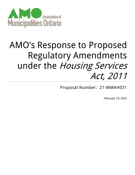

# AMO's Response to Proposed Regulatory Amendments under the Housing Services Act, 2011

Proposal Number: 21-MMAH031

February 14, 2022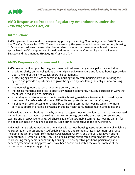

## **AMO Response to Proposed Regulatory Amendments under the**  Housing Services Act**, 2011**

## **Introduction:**

AMO is pleased to respond to the regulatory posting concerning *Ontario Regulation 367/11* under the *Housing Services Act, 2011*. The actions taken by the government to renew community housing in Ontario and address longstanding issues raised by municipal governments is welcome and appreciated. AMO is supportive of the directions set out in the Community Housing Renewal Strategy and the amended Housing Services Act, 2011.

### **AMO's Response – Outcomes and Approach**

AMO's response, if adopted by the government, will address many municipal issues including:

- providing clarity on the obligations of municipal service managers and funded housing providers upon the end of their mortgages/operating agreements;
- protecting against the loss of community housing supply from housing providers exiting the system and provide opportunities to grow the system by facilitating the entry of new housing providers;
- not increasing municipal costs or service delivery burden;
- increasing municipal flexibility to effectively manage community housing portfolios in ways that meet local need and circumstances;
- expanding access to more forms of innovative housing assistance to residents in need beyond the current Rent-Geared-to-Income (RGI) units and portable housing benefits; and,
- helping to ensure successful tenancies by connecting community housing tenants to more service supports in provincial systems, including health care, mental health, and addictions.

AMO values the contributions made by service managers' housing provider partners, as represented by the housing associations, as well as other community groups who are closest to serving both existing and prospective tenants. All share a goal of a sustainable community housing system for the people in need of housing assistance. Each brings perspective to the conversation.

AMO maintains positive working relationships with various housing associations, many of which are represented on our association's Affordable Housing and Homelessness Prevention Task Force including the Ontario Non-Profit Housing Association (ONPHA) and the Co-Operative Housing Federation (CHF-Ontario Region). AMO also has a strong relationship with AdvantAge Ontario, representing many seniors' community housing. Their respective positions, particularly about service agreement funding provisions, have been considered within the overall context of the response to the regulatory posting.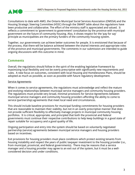

Consultations to date with AMO, the Ontario Municipal Social Services Association (OMSSA) and the Housing Strategic Steering Committee (HSSC) through the SMART table about the regulations have been productive and collaborative. The effort of the ministry staff is appreciated and valued. It reflects a commitment to 'government to government' consultation by the province with municipal government on the future of community housing. Also, it shows respect for the 'pay for say' principle as municipalities are the primary funders of the community housing system.

Together, our governments can achieve better outcomes for people. It is envisioned that because of the process, that there will be balance achieved between the shared interests and appropriate roles of the province and municipal governments. The comments in our submission are intended to guide ongoing discussions with this outcome in mind.

## **Comments**

Overall, the regulations should follow in the spirit of the enabling legislative framework by maximizing local flexibility and not be overly prescriptive with significantly new requirements and rules. A new focus on outcomes, consistent with local Housing and Homelessness Plans, should be adopted as much as possible, as soon as possible with future regulatory development.

#### Service Agreements

When it comes to service agreements, the regulations must acknowledge and reflect the mature and evolving relationships between municipal service managers and community housing providers. The regulations must provide very broad, minimal provisions for Service Agreements between municipal service managers and community housing providers affording the ability to come to service (partnership) agreements that meet local need and circumstances.

This should include baseline provisions for municipal funding commitments for housing providers that are reasonable to maintain their viability, but not in an overly prescriptive manner that does not provide sufficient flexibility to effectively manage projects in municipal community housing portfolios. It is critical, appropriate, and principled that both the provincial and federal governments must continue their respective contributions to help keep buildings in a good state of repair suitable for occupancy and a good quality of life.

Ongoing participation and entry into the system should be based on voluntarily negotiated partnership (service) agreements between municipal service managers and housing providers based on incentives.

Exit provisions for housing providers must place conditions which protect existing tenants from housing instability and respect the years of public taxpayer investment to the housing provider (i.e., from municipal, provincial, and federal governments). There may be reasons that a service manager and a housing provider may agree to an exit out of the system, but it must be a wellconsidered decision and under conditions.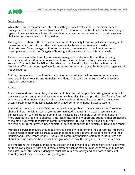

#### Service Levels

While the province maintains an interest in setting service level standards, municipal service managers require latitude in how to achieve them. More opportunities to allow a broader range of types of housing assistance to count towards service levels must be provided to provide greater choice for tenants and support innovation.

The regulations should afford a maximum amount of flexibility for municipal service managers to determine what counts toward the meeting of service levels to address local need and circumstances. To encourage continuous innovation, the regulations should not be overly prescriptive as to what specific types of housing assistance count toward Service Levels.

As well, there should be flexibility for service managers to determine the depth of housing assistance subsidy within parameters broadly and reasonably set by the province as system steward. This could be like RGI and Portable Housing Benefits. Approval by the Minister of Municipal Affairs and Housing of new forms of housing assistance used by Service Managers should not be required.

In time, the regulations should reflect an outcomes-based approach to meeting service levels grounded in local Housing and Homelessness Plans. This could be the subject of a phase II of regulation development.

#### Access

It is understood that the ministry is interested in feedback about possibly setting requirements for the access system and potential baseline rules, such as eligibility and priority rules, for the forms of assistance so that households with affordability needs continue to be supported to be able to access certain types of housing assistance in a new community housing access system.

At this time, there is not a significant system navigation problem that warrants a transformative change in how municipal access systems are regulated. Changing the access system is not a panacea solution to make up for demand vastly exceeding the supply of community housing. A more significant problem to address is the lack of health and wraparound supports that are needed to maintain successful tenancies in community housing. This will not be solved by further regulation, but rather greater inner-ministerial collaboration with the Ministry of Health and others.

Municipal service managers should be afforded flexibility to determine the appropriate integrated access system in their service areas based on local need and circumstances consistent with their Housing and Homelessness Plans. Overall, the community housing system needs less rules and should become outcome-based over time, grounded in local Housing and Homelessness Plans.

It is important that Service Managers must retain the ability and be afforded sufficient flexibility to set their own eligibility rules about certain matters, such as maximum absence from unit, income, and asset limits, etc. Service Managers must also retain the ability and be afforded sufficient flexibility to set their own local priority categories.